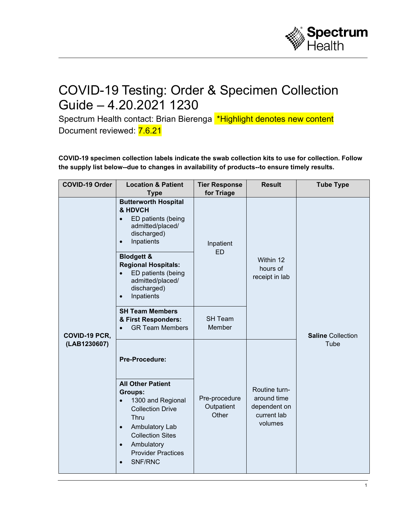

## COVID-19 Testing: Order & Specimen Collection Guide – 4.20.2021 1230

Spectrum Health contact: Brian Bierenga \*Highlight denotes new content Document reviewed: 7.6.21

**COVID-19 specimen collection labels indicate the swab collection kits to use for collection. Follow the supply list below--due to changes in availability of products--to ensure timely results.**

| <b>COVID-19 Order</b>         | <b>Location &amp; Patient</b><br><b>Type</b>                                                                                                                                                                            | <b>Tier Response</b><br>for Triage   | <b>Result</b>                                                          | <b>Tube Type</b>                 |
|-------------------------------|-------------------------------------------------------------------------------------------------------------------------------------------------------------------------------------------------------------------------|--------------------------------------|------------------------------------------------------------------------|----------------------------------|
| COVID-19 PCR,<br>(LAB1230607) | <b>Butterworth Hospital</b><br>& HDVCH<br>ED patients (being<br>$\bullet$<br>admitted/placed/<br>discharged)<br>Inpatients<br>$\bullet$                                                                                 | Inpatient<br><b>ED</b>               | Within 12<br>hours of<br>receipt in lab                                | <b>Saline Collection</b><br>Tube |
|                               | <b>Blodgett &amp;</b><br><b>Regional Hospitals:</b><br>ED patients (being<br>admitted/placed/<br>discharged)<br>Inpatients<br>$\bullet$                                                                                 |                                      |                                                                        |                                  |
|                               | <b>SH Team Members</b><br>& First Responders:<br><b>GR Team Members</b><br>$\bullet$                                                                                                                                    | <b>SH Team</b><br>Member             |                                                                        |                                  |
|                               | Pre-Procedure:<br><b>All Other Patient</b>                                                                                                                                                                              | Pre-procedure<br>Outpatient<br>Other | Routine turn-<br>around time<br>dependent on<br>current lab<br>volumes |                                  |
|                               | <b>Groups:</b><br>1300 and Regional<br>$\bullet$<br><b>Collection Drive</b><br><b>Thru</b><br>Ambulatory Lab<br>$\bullet$<br><b>Collection Sites</b><br>Ambulatory<br>$\bullet$<br><b>Provider Practices</b><br>SNF/RNC |                                      |                                                                        |                                  |